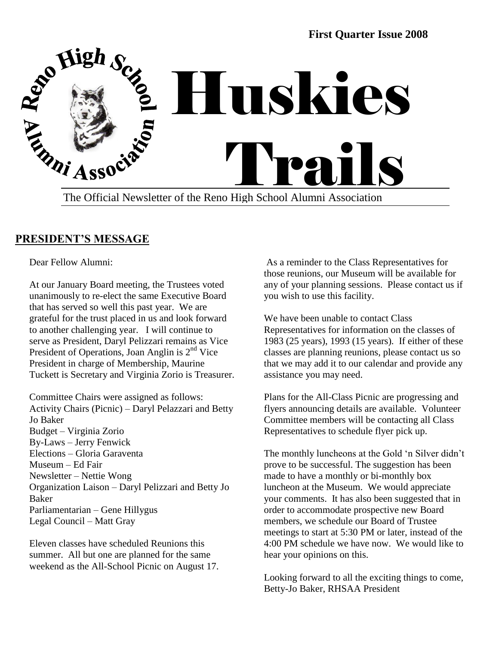

The Official Newsletter of the Reno High School Alumni Association

## **PRESIDENT'S MESSAGE**

Dear Fellow Alumni:

At our January Board meeting, the Trustees voted unanimously to re-elect the same Executive Board that has served so well this past year. We are grateful for the trust placed in us and look forward to another challenging year. I will continue to serve as President, Daryl Pelizzari remains as Vice President of Operations, Joan Anglin is 2<sup>nd</sup> Vice President in charge of Membership, Maurine Tuckett is Secretary and Virginia Zorio is Treasurer.

Committee Chairs were assigned as follows: Activity Chairs (Picnic) – Daryl Pelazzari and Betty Jo Baker Budget – Virginia Zorio By-Laws – Jerry Fenwick Elections – Gloria Garaventa Museum – Ed Fair Newsletter – Nettie Wong Organization Laison – Daryl Pelizzari and Betty Jo Baker Parliamentarian – Gene Hillygus Legal Council – Matt Gray

Eleven classes have scheduled Reunions this summer. All but one are planned for the same weekend as the All-School Picnic on August 17.

As a reminder to the Class Representatives for those reunions, our Museum will be available for any of your planning sessions. Please contact us if you wish to use this facility.

We have been unable to contact Class Representatives for information on the classes of 1983 (25 years), 1993 (15 years). If either of these classes are planning reunions, please contact us so that we may add it to our calendar and provide any assistance you may need.

Plans for the All-Class Picnic are progressing and flyers announcing details are available. Volunteer Committee members will be contacting all Class Representatives to schedule flyer pick up.

The monthly luncheons at the Gold 'n Silver didn't prove to be successful. The suggestion has been made to have a monthly or bi-monthly box luncheon at the Museum. We would appreciate your comments. It has also been suggested that in order to accommodate prospective new Board members, we schedule our Board of Trustee meetings to start at 5:30 PM or later, instead of the 4:00 PM schedule we have now. We would like to hear your opinions on this.

Looking forward to all the exciting things to come, Betty-Jo Baker, RHSAA President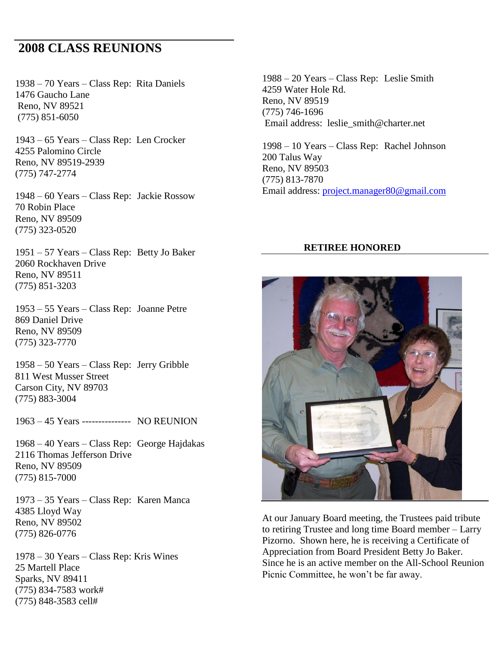# **2008 CLASS REUNIONS**

1938 – 70 Years – Class Rep: Rita Daniels 1476 Gaucho Lane Reno, NV 89521 (775) 851-6050

1943 – 65 Years – Class Rep: Len Crocker 4255 Palomino Circle Reno, NV 89519-2939 (775) 747-2774

1948 – 60 Years – Class Rep: Jackie Rossow 70 Robin Place Reno, NV 89509 (775) 323-0520

1951 – 57 Years – Class Rep: Betty Jo Baker 2060 Rockhaven Drive Reno, NV 89511 (775) 851-3203

1953 – 55 Years – Class Rep: Joanne Petre 869 Daniel Drive Reno, NV 89509 (775) 323-7770

1958 – 50 Years – Class Rep: Jerry Gribble 811 West Musser Street Carson City, NV 89703 (775) 883-3004

1963 – 45 Years --------------- NO REUNION

1968 – 40 Years – Class Rep: George Hajdakas 2116 Thomas Jefferson Drive Reno, NV 89509 (775) 815-7000

1973 – 35 Years – Class Rep: Karen Manca 4385 Lloyd Way Reno, NV 89502 (775) 826-0776

1978 – 30 Years – Class Rep: Kris Wines 25 Martell Place Sparks, NV 89411 (775) 834-7583 work# (775) 848-3583 cell#

1988 – 20 Years – Class Rep: Leslie Smith 4259 Water Hole Rd. Reno, NV 89519 (775) 746-1696 Email address: leslie\_smith@charter.net

1998 – 10 Years – Class Rep: Rachel Johnson 200 Talus Way Reno, NV 89503 (775) 813-7870 Email address: [project.manager80@gmail.com](mailto:project.manager80@gmail.com)

#### **RETIREE HONORED**



At our January Board meeting, the Trustees paid tribute to retiring Trustee and long time Board member – Larry Pizorno. Shown here, he is receiving a Certificate of Appreciation from Board President Betty Jo Baker. Since he is an active member on the All-School Reunion Picnic Committee, he won"t be far away.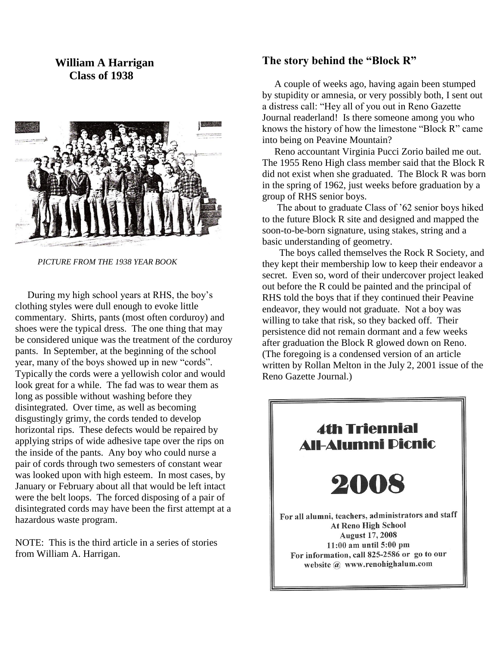**William A Harrigan Class of 1938**



 *PICTURE FROM THE 1938 YEAR BOOK*

 During my high school years at RHS, the boy"s clothing styles were dull enough to evoke little commentary. Shirts, pants (most often corduroy) and shoes were the typical dress. The one thing that may be considered unique was the treatment of the corduroy pants. In September, at the beginning of the school year, many of the boys showed up in new "cords". Typically the cords were a yellowish color and would look great for a while. The fad was to wear them as long as possible without washing before they disintegrated. Over time, as well as becoming disgustingly grimy, the cords tended to develop horizontal rips. These defects would be repaired by applying strips of wide adhesive tape over the rips on the inside of the pants. Any boy who could nurse a pair of cords through two semesters of constant wear was looked upon with high esteem. In most cases, by January or February about all that would be left intact were the belt loops. The forced disposing of a pair of disintegrated cords may have been the first attempt at a hazardous waste program.

NOTE: This is the third article in a series of stories from William A. Harrigan.

#### **The story behind the "Block R"**

 A couple of weeks ago, having again been stumped by stupidity or amnesia, or very possibly both, I sent out a distress call: "Hey all of you out in Reno Gazette Journal readerland! Is there someone among you who knows the history of how the limestone "Block R" came into being on Peavine Mountain?

 Reno accountant Virginia Pucci Zorio bailed me out. The 1955 Reno High class member said that the Block R did not exist when she graduated. The Block R was born in the spring of 1962, just weeks before graduation by a group of RHS senior boys.

 The about to graduate Class of "62 senior boys hiked to the future Block R site and designed and mapped the soon-to-be-born signature, using stakes, string and a basic understanding of geometry.

 The boys called themselves the Rock R Society, and they kept their membership low to keep their endeavor a secret. Even so, word of their undercover project leaked out before the R could be painted and the principal of RHS told the boys that if they continued their Peavine endeavor, they would not graduate. Not a boy was willing to take that risk, so they backed off. Their persistence did not remain dormant and a few weeks after graduation the Block R glowed down on Reno. (The foregoing is a condensed version of an article written by Rollan Melton in the July 2, 2001 issue of the Reno Gazette Journal.)

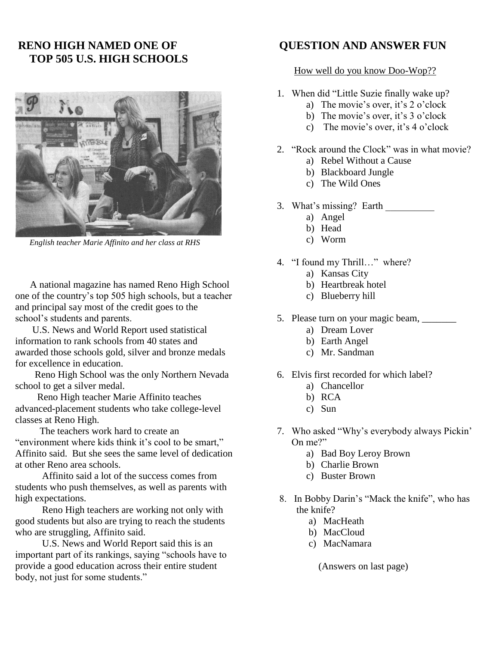### **RENO HIGH NAMED ONE OF TOP 505 U.S. HIGH SCHOOLS**



 *English teacher Marie Affinito and her class at RHS*

 A national magazine has named Reno High School one of the country"s top 505 high schools, but a teacher and principal say most of the credit goes to the school"s students and parents.

 U.S. News and World Report used statistical information to rank schools from 40 states and awarded those schools gold, silver and bronze medals for excellence in education.

 Reno High School was the only Northern Nevada school to get a silver medal.

 Reno High teacher Marie Affinito teaches advanced-placement students who take college-level classes at Reno High.

 The teachers work hard to create an "environment where kids think it"s cool to be smart," Affinito said. But she sees the same level of dedication at other Reno area schools.

 Affinito said a lot of the success comes from students who push themselves, as well as parents with high expectations.

 Reno High teachers are working not only with good students but also are trying to reach the students who are struggling, Affinito said.

 U.S. News and World Report said this is an important part of its rankings, saying "schools have to provide a good education across their entire student body, not just for some students."

#### **QUESTION AND ANSWER FUN**

#### How well do you know Doo-Wop??

- 1. When did "Little Suzie finally wake up?
	- a) The movie's over, it's  $2 \text{ o'clock}$
	- b) The movie's over, it's 3 o'clock
	- c) The movie's over, it's  $4$  o'clock
- 2. "Rock around the Clock" was in what movie?
	- a) Rebel Without a Cause
	- b) Blackboard Jungle
	- c) The Wild Ones
- 3. What's missing? Earth
	- a) Angel
	- b) Head
	- c) Worm
- 4. "I found my Thrill…" where?
	- a) Kansas City
	- b) Heartbreak hotel
	- c) Blueberry hill
- 5. Please turn on your magic beam, \_\_\_\_\_\_\_\_
	- a) Dream Lover
	- b) Earth Angel
	- c) Mr. Sandman
- 6. Elvis first recorded for which label?
	- a) Chancellor
	- b) RCA
	- c) Sun
- 7. Who asked "Why"s everybody always Pickin" On me?"
	- a) Bad Boy Leroy Brown
	- b) Charlie Brown
	- c) Buster Brown
- 8. In Bobby Darin"s "Mack the knife", who has the knife?
	- a) MacHeath
	- b) MacCloud
	- c) MacNamara

(Answers on last page)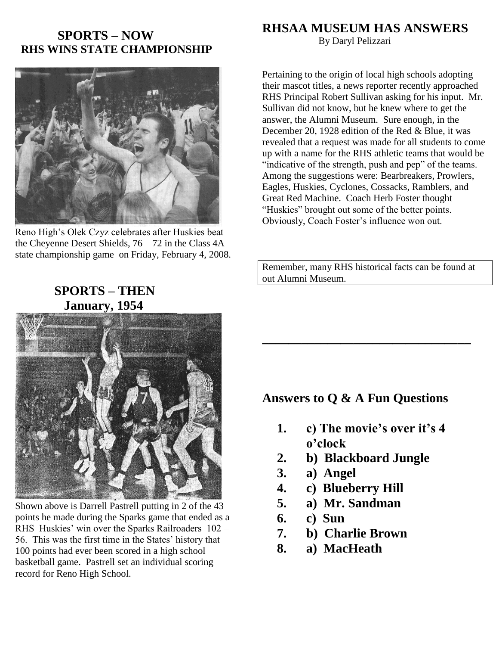## **SPORTS – NOW RHS WINS STATE CHAMPIONSHIP**



Reno High"s Olek Czyz celebrates after Huskies beat the Cheyenne Desert Shields, 76 – 72 in the Class 4A state championship game on Friday, February 4, 2008.

# **SPORTS – THEN January, 1954**



Shown above is Darrell Pastrell putting in 2 of the 43 points he made during the Sparks game that ended as a RHS Huskies' win over the Sparks Railroaders 102 – 56. This was the first time in the States" history that 100 points had ever been scored in a high school basketball game. Pastrell set an individual scoring record for Reno High School.

## **RHSAA MUSEUM HAS ANSWERS**

By Daryl Pelizzari

Pertaining to the origin of local high schools adopting their mascot titles, a news reporter recently approached RHS Principal Robert Sullivan asking for his input. Mr. Sullivan did not know, but he knew where to get the answer, the Alumni Museum. Sure enough, in the December 20, 1928 edition of the Red & Blue, it was revealed that a request was made for all students to come up with a name for the RHS athletic teams that would be "indicative of the strength, push and pep" of the teams. Among the suggestions were: Bearbreakers, Prowlers, Eagles, Huskies, Cyclones, Cossacks, Ramblers, and Great Red Machine. Coach Herb Foster thought "Huskies" brought out some of the better points. Obviously, Coach Foster's influence won out.

Remember, many RHS historical facts can be found at out Alumni Museum.

**\_\_\_\_\_\_\_\_\_\_\_\_\_\_\_\_\_\_\_\_\_\_\_\_\_\_\_\_\_\_\_\_**

## **Answers to Q & A Fun Questions**

- **1. c) The movie's over it's 4 o'clock**
- **2. b) Blackboard Jungle**
- **3. a) Angel**
- **4. c) Blueberry Hill**
- **5. a) Mr. Sandman**
- **6. c) Sun**
- **7. b) Charlie Brown**
- **8. a) MacHeath**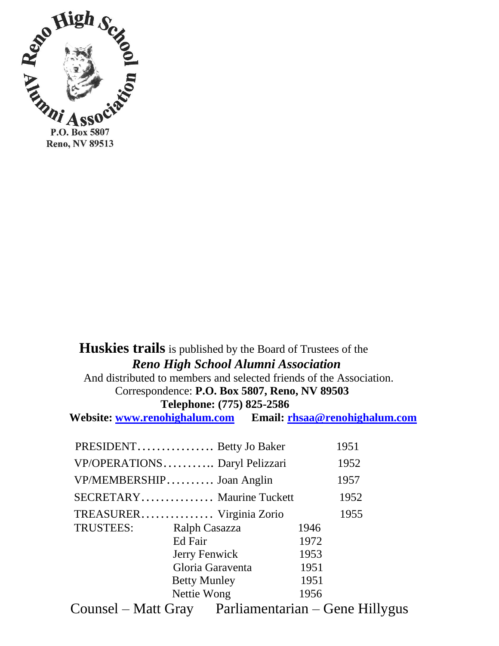

# **Huskies trails** is published by the Board of Trustees of the *Reno High School Alumni Association*

And distributed to members and selected friends of the Association.

## Correspondence: **P.O. Box 5807, Reno, NV 89503**

 **Telephone: (775) 825-2586**

 **Website: [www.renohighalum.com](http://www.renohighalum.com/) Email: [rhsaa@renohighalum.com](mailto:rhsaa@renohighalum.com)**

|                     |  |               | PRESIDENT Betty Jo Baker      |      | 1951         |
|---------------------|--|---------------|-------------------------------|------|--------------|
|                     |  |               | VP/OPERATIONS Daryl Pelizzari |      | 1952         |
|                     |  |               | VP/MEMBERSHIP Joan Anglin     |      | 1957         |
|                     |  |               | SECRETARY Maurine Tuckett     |      | 1952         |
|                     |  |               | TREASURER Virginia Zorio      |      | 1955         |
| TRUSTEES:           |  | Ralph Casazza |                               | 1946 |              |
|                     |  | Ed Fair       |                               | 1972 |              |
|                     |  | Jerry Fenwick |                               | 1953 |              |
|                     |  |               | Gloria Garaventa              | 1951 |              |
| <b>Betty Munley</b> |  |               |                               | 1951 |              |
| Nettie Wong         |  |               |                               | 1956 |              |
| $C_{\Omega^{11}}$   |  |               | Matt Gray Darliamontarian     |      | $Cana$ Hilly |

Counsel – Matt Gray Parliamentarian – Gene Hillygus